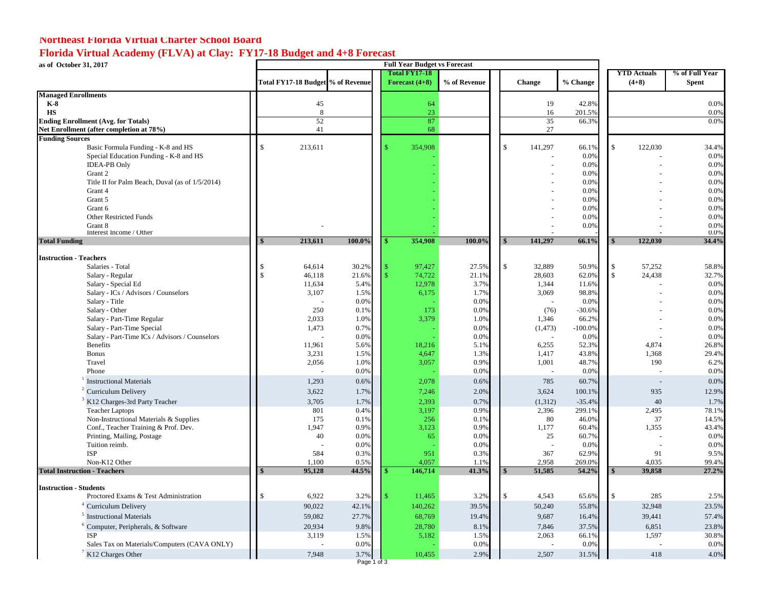## **Northeast Florida Virtual Charter School Board**

### **Florida Virtual Academy (FLVA) at Clay: FY17-18 Budget and 4+8 Forecast**

**as of October 31, 2017**

| as of October 31, 2017                          |                    | <b>Full Year Budget vs Forecast</b> |               |    |                                          |              |              |                          |           |    |                               |                                |  |
|-------------------------------------------------|--------------------|-------------------------------------|---------------|----|------------------------------------------|--------------|--------------|--------------------------|-----------|----|-------------------------------|--------------------------------|--|
|                                                 |                    | Total FY17-18 Budget % of Revenue   |               |    | <b>Total FY17-18</b><br>Forecast $(4+8)$ | % of Revenue |              | <b>Change</b>            | % Change  |    | <b>YTD</b> Actuals<br>$(4+8)$ | % of Full Year<br><b>Spent</b> |  |
| <b>Managed Enrollments</b>                      |                    |                                     |               |    |                                          |              |              |                          |           |    |                               |                                |  |
| $K-8$                                           |                    | 45                                  |               |    | 64                                       |              |              | 19                       | 42.8%     |    |                               | 0.0%                           |  |
| <b>HS</b>                                       |                    | 8                                   |               |    | 23                                       |              |              | 16                       | 201.5%    |    |                               | 0.0%                           |  |
| <b>Ending Enrollment (Avg. for Totals)</b>      |                    | 52                                  |               |    | 87                                       |              |              | 35                       | 66.3%     |    |                               | 0.0%                           |  |
| Net Enrollment (after completion at 78%)        |                    | 41                                  |               |    | 68                                       |              |              | 27                       |           |    |                               |                                |  |
| <b>Funding Sources</b>                          |                    |                                     |               |    |                                          |              |              |                          |           |    |                               |                                |  |
| Basic Formula Funding - K-8 and HS              | $\mathsf{\$}$      | 213,611                             |               |    | 354,908                                  |              | $\mathbb{S}$ | 141,297                  | 66.1%     | \$ | 122,030                       | 34.4%                          |  |
| Special Education Funding - K-8 and HS          |                    |                                     |               |    |                                          |              |              |                          | 0.0%      |    |                               | 0.0%                           |  |
| <b>IDEA-PB</b> Only                             |                    |                                     |               |    |                                          |              |              |                          | 0.0%      |    |                               | 0.0%                           |  |
| Grant 2                                         |                    |                                     |               |    |                                          |              |              |                          | 0.0%      |    |                               | 0.0%                           |  |
| Title II for Palm Beach, Duval (as of 1/5/2014) |                    |                                     |               |    |                                          |              |              |                          | 0.0%      |    |                               | 0.0%                           |  |
| Grant 4                                         |                    |                                     |               |    |                                          |              |              |                          | 0.0%      |    |                               | 0.0%                           |  |
| Grant 5                                         |                    |                                     |               |    |                                          |              |              |                          | 0.0%      |    |                               | 0.0%                           |  |
| Grant 6                                         |                    |                                     |               |    |                                          |              |              |                          | 0.0%      |    |                               | 0.0%                           |  |
| Other Restricted Funds                          |                    |                                     |               |    |                                          |              |              |                          | 0.0%      |    |                               | 0.0%                           |  |
| Grant 8                                         |                    |                                     |               |    |                                          |              |              |                          | 0.0%      |    |                               | 0.0%                           |  |
| Interest Income / Other                         |                    |                                     |               |    |                                          |              |              |                          |           |    |                               | 0.0%                           |  |
| <b>Total Funding</b>                            |                    | 213,611                             | 100.0%        | \$ | 354,908                                  | 100.0%       |              | 141,297                  | 66.1%     |    | 122,030                       | 34.4%                          |  |
| <b>Instruction - Teachers</b>                   |                    |                                     |               |    |                                          |              |              |                          |           |    |                               |                                |  |
| Salaries - Total                                | $\mathbb{S}$       | 64,614                              | 30.2%         | \$ | 97,427                                   | 27.5%        | \$           | 32,889                   | 50.9%     | \$ | 57,252                        | 58.8%                          |  |
| Salary - Regular                                | $\mathbf{\hat{s}}$ | 46,118                              | 21.6%         | \$ | 74,722                                   | 21.1%        |              | 28,603                   | 62.0%     | \$ | 24,438                        | 32.7%                          |  |
| Salary - Special Ed                             |                    | 11,634                              | 5.4%          |    | 12,978                                   | 3.7%         |              | 1,344                    | 11.6%     |    |                               | 0.0%                           |  |
| Salary - ICs / Advisors / Counselors            |                    | 3,107                               | 1.5%          |    | 6,175                                    | 1.7%         |              | 3,069                    | 98.8%     |    |                               | 0.0%                           |  |
| Salary - Title                                  |                    |                                     | 0.0%          |    |                                          | 0.0%         |              |                          | 0.0%      |    |                               | 0.0%                           |  |
| Salary - Other                                  |                    | 250                                 | 0.1%          |    | 173                                      | 0.0%         |              | (76)                     | $-30.6%$  |    |                               | 0.0%                           |  |
| Salary - Part-Time Regular                      |                    | 2,033                               | 1.0%          |    | 3,379                                    | 1.0%         |              | 1,346                    | 66.2%     |    |                               | 0.0%                           |  |
| Salary - Part-Time Special                      |                    | 1,473                               | 0.7%          |    |                                          | 0.0%         |              | (1, 473)                 | $-100.0%$ |    |                               | 0.0%                           |  |
| Salary - Part-Time ICs / Advisors / Counselors  |                    |                                     | 0.0%          |    |                                          | 0.0%         |              |                          | 0.0%      |    |                               | 0.0%                           |  |
| <b>Benefits</b>                                 |                    | 11,961                              | 5.6%          |    | 18,216                                   | 5.1%         |              | 6,255                    | 52.3%     |    | 4,874                         | 26.8%                          |  |
| <b>Bonus</b>                                    |                    | 3,231                               | 1.5%          |    | 4,647                                    | 1.3%         |              | 1,417                    | 43.8%     |    | 1,368                         | 29.4%                          |  |
| Travel                                          |                    | 2,056                               | 1.0%          |    | 3,057                                    | 0.9%         |              | 1,001                    | 48.7%     |    | 190                           | 6.2%                           |  |
| Phone                                           |                    |                                     | 0.0%          |    |                                          | 0.0%         |              |                          | 0.0%      |    |                               | 0.0%                           |  |
| <b>Instructional Materials</b>                  |                    | 1,293                               | 0.6%          |    | 2,078                                    | 0.6%         |              | 785                      | 60.7%     |    |                               | 0.0%                           |  |
| Curriculum Delivery                             |                    | 3,622                               | 1.7%          |    | 7,246                                    | 2.0%         |              | 3,624                    | 100.1%    |    | 935                           | 12.9%                          |  |
| K12 Charges-3rd Party Teacher                   |                    | 3,705                               | 1.7%          |    | 2,393                                    | 0.7%         |              | (1,312)                  | $-35.4%$  |    | 40                            | 1.7%                           |  |
| <b>Teacher Laptops</b>                          |                    | 801                                 | 0.4%          |    | 3,197                                    | 0.9%         |              | 2,396                    | 299.1%    |    | 2,495                         | 78.1%                          |  |
| Non-Instructional Materials & Supplies          |                    | 175                                 | 0.1%          |    | 256                                      | 0.1%         |              | 80                       | 46.0%     |    | 37                            | 14.5%                          |  |
| Conf., Teacher Training & Prof. Dev.            |                    | 1,947                               | 0.9%          |    | 3,123                                    | 0.9%         |              | 1,177                    | 60.4%     |    | 1,355                         | 43.4%                          |  |
| Printing, Mailing, Postage                      |                    | 40                                  | 0.0%          |    | 65                                       | 0.0%         |              | 25                       | 60.7%     |    |                               | 0.0%                           |  |
| Tuition reimb.                                  |                    |                                     | 0.0%          |    |                                          | 0.0%         |              |                          | 0.0%      |    |                               | 0.0%                           |  |
| <b>ISP</b>                                      |                    | 584                                 | 0.3%          |    | 951                                      | 0.3%         |              | 367                      | 62.9%     |    | 91                            | 9.5%                           |  |
| Non-K12 Other                                   |                    | 1.100                               | 0.5%<br>44.5% |    | 4,057                                    | 1.1%         |              | 2,958                    | 269.0%    |    | 4.035                         | 99.4%                          |  |
| <b>Total Instruction - Teachers</b>             |                    | 95,128                              |               | Ф  | 146,714                                  | 41.3%        |              | 51.585                   | 54.2%     |    | 39,858                        | 27.2%                          |  |
| <b>Instruction - Students</b>                   | \$                 |                                     |               |    |                                          |              |              |                          |           |    |                               |                                |  |
| Proctored Exams & Test Administration           |                    | 6,922                               | 3.2%          | \$ | 11,465                                   | 3.2%         | \$.          | 4,543                    | 65.6%     | \$ | 285                           | 2.5%                           |  |
| <sup>4</sup> Curriculum Delivery                |                    | 90,022                              | 42.1%         |    | 140,262                                  | 39.5%        |              | 50,240                   | 55.8%     |    | 32,948                        | 23.5%                          |  |
| <b>Instructional Materials</b>                  |                    | 59,082                              | 27.7%         |    | 68,769                                   | 19.4%        |              | 9,687                    | 16.4%     |    | 39,441                        | 57.4%                          |  |
| Computer, Peripherals, & Software               |                    | 20,934                              | 9.8%          |    | 28,780                                   | 8.1%         |              | 7,846                    | 37.5%     |    | 6,851                         | 23.8%                          |  |
| ISP                                             |                    | 3,119                               | 1.5%          |    | 5,182                                    | 1.5%         |              | 2,063                    | 66.1%     |    | 1,597                         | 30.8%                          |  |
| Sales Tax on Materials/Computers (CAVA ONLY)    |                    |                                     | 0.0%          |    |                                          | 0.0%         |              | $\overline{\phantom{a}}$ | 0.0%      |    |                               | 0.0%                           |  |
| K12 Charges Other                               |                    | 7,948                               | 3.7%          |    | 10,455                                   | 2.9%         |              | 2,507                    | 31.5%     |    | 418                           | 4.0%                           |  |
|                                                 |                    |                                     | Page 1 of 3   |    |                                          |              |              |                          |           |    |                               |                                |  |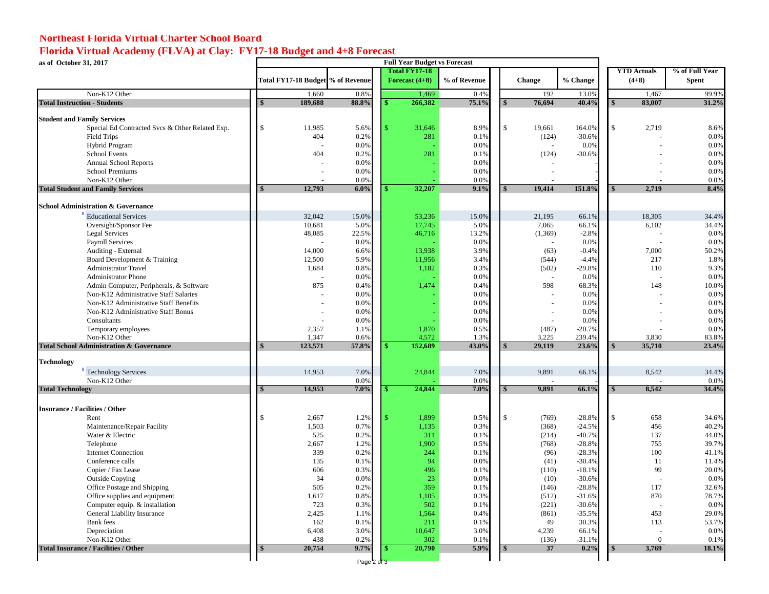## **Northeast Florida Virtual Charter School Board**

# **Florida Virtual Academy (FLVA) at Clay: FY17-18 Budget and 4+8 Forecast**

**as of October 31, 2017**

| as of October 31, 2017                              |                                   |              | <b>Full Year Budget vs Forecast</b> |                      |              |              |                          |                      |               |                    |                |
|-----------------------------------------------------|-----------------------------------|--------------|-------------------------------------|----------------------|--------------|--------------|--------------------------|----------------------|---------------|--------------------|----------------|
|                                                     |                                   |              |                                     | <b>Total FY17-18</b> |              |              |                          |                      |               | <b>YTD</b> Actuals | % of Full Year |
|                                                     | Total FY17-18 Budget % of Revenue |              |                                     | Forecast $(4+8)$     | % of Revenue |              | Change                   | % Change             |               | $(4+8)$            | <b>Spent</b>   |
| Non-K12 Other                                       | 1,660                             | 0.8%         |                                     | 1,469                | 0.4%         |              | 192                      | 13.0%                |               | 1,467              | 99.9%          |
| <b>Total Instruction - Students</b>                 | 189,688                           | 88.8%        |                                     | 266,382              | 75.1%        |              | 76,694                   | 40.4%                |               | 83.007             | 31.2%          |
| <b>Student and Family Services</b>                  |                                   |              |                                     |                      |              |              |                          |                      |               |                    |                |
| Special Ed Contracted Svcs & Other Related Exp.     | \$<br>11,985                      | 5.6%         |                                     | 31,646               | 8.9%         | $\mathbb{S}$ | 19,661                   | 164.0%               | \$.           | 2,719              | 8.6%           |
| <b>Field Trips</b>                                  | 404                               | 0.2%         |                                     | 281                  | 0.1%         |              | (124)                    | $-30.6%$             |               |                    | 0.0%           |
| Hybrid Program                                      |                                   | 0.0%         |                                     |                      | 0.0%         |              | $\overline{\phantom{a}}$ | 0.0%                 |               |                    | 0.0%           |
| <b>School Events</b>                                | 404                               | 0.2%         |                                     | 281                  | 0.1%         |              | (124)                    | $-30.6%$             |               |                    | 0.0%           |
| <b>Annual School Reports</b>                        |                                   | 0.0%         |                                     |                      | 0.0%         |              |                          |                      |               |                    | 0.0%           |
| School Premiums                                     |                                   | 0.0%         |                                     |                      | 0.0%         |              |                          |                      |               |                    | 0.0%           |
| Non-K12 Other                                       |                                   | 0.0%         |                                     |                      | 0.0%         |              |                          |                      |               |                    | 0.0%           |
| <b>Total Student and Family Services</b>            | 12,793                            | 6.0%         |                                     | 32,207               | 9.1%         |              | 19,414                   | 151.8%               |               | 2,719              | 8.4%           |
| <b>School Administration &amp; Governance</b>       |                                   |              |                                     |                      |              |              |                          |                      |               |                    |                |
| <b>Educational Services</b>                         | 32,042                            | 15.0%        |                                     | 53,236               | 15.0%        |              | 21,195                   | 66.1%                |               | 18,305             | 34.4%          |
| Oversight/Sponsor Fee                               | 10,681                            | 5.0%         |                                     | 17,745               | 5.0%         |              | 7,065                    | 66.1%                |               | 6,102              | 34.4%          |
| Legal Services                                      | 48,085                            | 22.5%        |                                     | 46,716               | 13.2%        |              | (1,369)                  | $-2.8%$              |               |                    | 0.0%           |
| Payroll Services                                    |                                   | 0.0%         |                                     |                      | 0.0%         |              |                          | 0.0%                 |               |                    | 0.0%           |
| Auditing - External                                 | 14,000                            | 6.6%         |                                     | 13,938               | 3.9%         |              | (63)                     | $-0.4%$              |               | 7,000              | 50.2%          |
| Board Development & Training                        | 12,500                            | 5.9%         |                                     | 11,956               | 3.4%         |              | (544)                    | $-4.4%$              |               | 217                | 1.8%           |
| <b>Administrator Travel</b>                         | 1,684                             | 0.8%         |                                     | 1,182                | 0.3%         |              | (502)                    | $-29.8%$             |               | 110                | 9.3%           |
| <b>Administrator Phone</b>                          |                                   | 0.0%         |                                     |                      | 0.0%         |              |                          | 0.0%                 |               |                    | 0.0%           |
| Admin Computer, Peripherals, & Software             | 875                               | 0.4%         |                                     | 1,474                | 0.4%         |              | 598                      | 68.3%                |               | 148                | 10.0%          |
| Non-K12 Administrative Staff Salaries               |                                   | 0.0%         |                                     |                      | 0.0%         |              |                          | 0.0%                 |               |                    | 0.0%           |
| Non-K12 Administrative Staff Benefits               |                                   | 0.0%         |                                     |                      | 0.0%         |              |                          | 0.0%                 |               |                    | 0.0%           |
| Non-K12 Administrative Staff Bonus                  |                                   | 0.0%         |                                     |                      | 0.0%         |              |                          | 0.0%                 |               |                    | 0.0%           |
| Consultants                                         |                                   | 0.0%         |                                     |                      | 0.0%         |              |                          | 0.0%                 |               |                    | 0.0%           |
| Temporary employees<br>Non-K12 Other                | 2,357<br>1,347                    | 1.1%<br>0.6% |                                     | 1,870<br>4,572       | 0.5%<br>1.3% |              | (487)<br>3,225           | $-20.7%$<br>239.4%   |               | 3,830              | 0.0%<br>83.8%  |
| <b>Total School Administration &amp; Governance</b> | 123,571                           | 57.8%        |                                     | 152,689              | 43.0%        |              | 29.119                   | 23.6%                |               | 35,710             | 23.4%          |
| <b>Technology</b>                                   |                                   |              |                                     |                      |              |              |                          |                      |               |                    |                |
| Technology Services                                 | 14,953                            | 7.0%         |                                     | 24,844               | 7.0%         |              | 9,891                    | 66.1%                |               | 8,542              | 34.4%          |
| Non-K12 Other                                       |                                   | 0.0%         |                                     |                      | 0.0%         |              |                          |                      |               |                    | 0.0%           |
| <b>Total Technology</b>                             | 14,953                            | 7.0%         |                                     | 24,844               | 7.0%         |              | 9.891                    | 66.1%                |               | 8.542              | 34.4%          |
|                                                     |                                   |              |                                     |                      |              |              |                          |                      |               |                    |                |
| <b>Insurance / Facilities / Other</b>               |                                   |              |                                     |                      |              |              |                          |                      |               |                    |                |
| Rent                                                | $\mathbf{\hat{S}}$<br>2,667       | 1.2%         |                                     | 1,899                | 0.5%         | $\mathbf{s}$ | (769)                    | $-28.8%$             | $\mathcal{L}$ | 658                | 34.6%          |
| Maintenance/Repair Facility                         | 1,503                             | 0.7%         |                                     | 1,135                | 0.3%         |              | (368)                    | $-24.5%$             |               | 456                | 40.2%          |
| Water & Electric                                    | 525                               | 0.2%         |                                     | 311                  | 0.1%         |              | (214)                    | $-40.7%$             |               | 137                | 44.0%          |
| Telephone<br><b>Internet Connection</b>             | 2,667<br>339                      | 1.2%<br>0.2% |                                     | 1,900<br>244         | 0.5%<br>0.1% |              | (768)<br>(96)            | $-28.8%$<br>$-28.3%$ |               | 755<br>100         | 39.7%<br>41.1% |
| Conference calls                                    | 135                               | 0.1%         |                                     | 94                   | 0.0%         |              | (41)                     | $-30.4%$             |               | 11                 | 11.4%          |
| Copier / Fax Lease                                  | 606                               | 0.3%         |                                     | 496                  | 0.1%         |              | (110)                    | $-18.1%$             |               | 99                 | 20.0%          |
| <b>Outside Copying</b>                              | 34                                | 0.0%         |                                     | 23                   | 0.0%         |              | (10)                     | $-30.6%$             |               |                    | 0.0%           |
| Office Postage and Shipping                         | 505                               | 0.2%         |                                     | 359                  | 0.1%         |              | (146)                    | $-28.8%$             |               | 117                | 32.6%          |
| Office supplies and equipment                       | 1,617                             | 0.8%         |                                     | 1,105                | 0.3%         |              | (512)                    | $-31.6%$             |               | 870                | 78.7%          |
| Computer equip. & installation                      | 723                               | 0.3%         |                                     | 502                  | 0.1%         |              | (221)                    | $-30.6%$             |               |                    | 0.0%           |
| General Liability Insurance                         | 2,425                             | 1.1%         |                                     | 1,564                | 0.4%         |              | (861)                    | $-35.5%$             |               | 453                | 29.0%          |
| Bank fees                                           | 162                               | 0.1%         |                                     | 211                  | 0.1%         |              | 49                       | 30.3%                |               | 113                | 53.7%          |
| Depreciation                                        | 6,408                             | 3.0%         |                                     | 10,647               | 3.0%         |              | 4,239                    | 66.1%                |               |                    | 0.0%           |
| Non-K12 Other                                       | 438                               | 0.2%         |                                     | 302                  | 0.1%         |              | (136)                    | $-31.1%$             |               | $\Omega$           | 0.1%           |
| <b>Total Insurance / Facilities / Other</b>         | 20,754                            | 9.7%         |                                     | 20,790               | 5.9%         |              | 37                       | 0.2%                 |               | 3,769              | 18.1%          |
|                                                     |                                   | Page 2 of 3  |                                     |                      |              |              |                          |                      |               |                    |                |